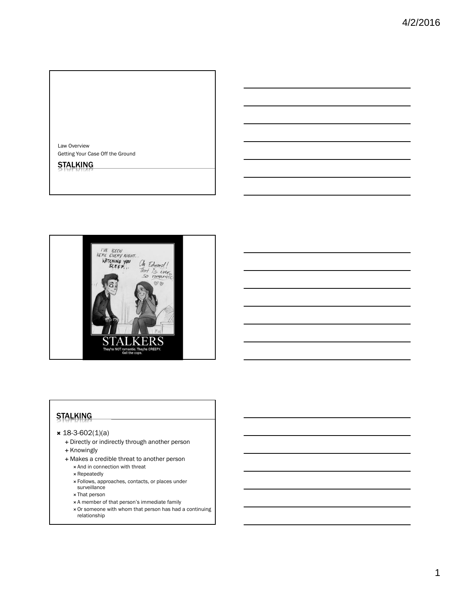Law Overview Getting Your Case Off the Ground

# **STALKING**



# STALKING

#### $\star$  18-3-602(1)(a)

- Directly or indirectly through another person
- + Knowingly
- + Makes a credible threat to another person  $\times$  And in connection with threat
	-
	- **x** Repeatedly
	- Follows, approaches, contacts, or places under surveillance
	- That person
	- A member of that person's immediate family
	- Or someone with whom that person has had a continuing relationship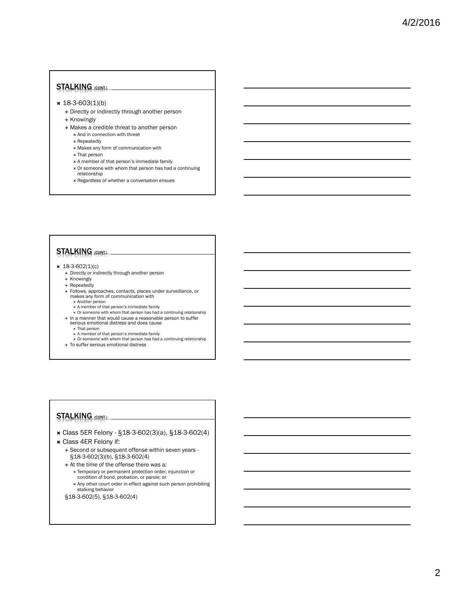# STALKING (CONT.)

#### $\star$  18-3-603(1)(b)

- + Directly or indirectly through another person
- + Knowingly
- + Makes a credible threat to another person
	- **x** And in connection with threat
	- Repeatedly
	- Makes any form of communication with
	- That person
	- A member of that person's immediate family
	- Or someone with whom that person has had a continuing relationship
	- **x Regardless of whether a conversation ensues**

# STALKING (CONT.)

- $\star$  18-3-602(1)(c)
	- + Directly or indirectly through another person
	- + Knowingly
	- + Repeatedly
	- Follows, approaches, contacts, places under surveillance, or makes any form of communication with Another person
		-
		- A member of that person's immediate family
		- Or someone with whom that person has had a continuing relationship
	- + In a manner that would cause a reasonable person to suffer serious emotional distress and does cause
		-
		- That person A member of that person's immediate family
		- x Or someone with whom that person has had a continuing relationship
	- + To suffer serious emotional distress

## STALKING (CONT.)

- Class 5ER Felony §18-3-602(3)(a), §18-3-602(4)
- Class 4ER Felony if:
	- + Second or subsequent offense within seven years -§18-3-602(3)(b), §18-3-602(4)
	- + At the time of the offense there was a:
	- Temporary or permanent protection order, injunction or
	- condition of bond, probation, or parole; or Any other court order in effect against such person prohibiting
	- stalking behavior
	- §18-3-602(5), §18-3-602(4)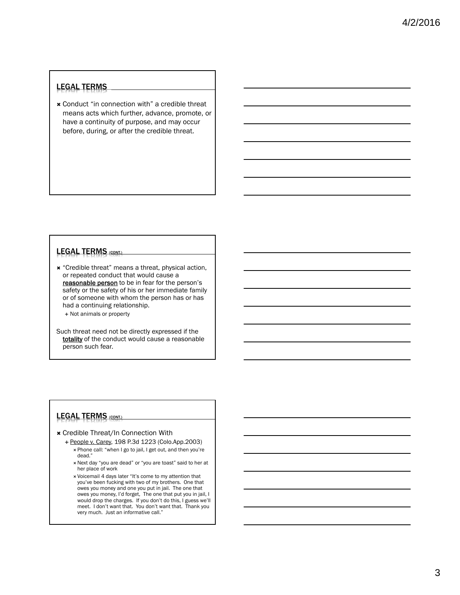# LEGAL TERMS

 Conduct "in connection with" a credible threat means acts which further, advance, promote, or have a continuity of purpose, and may occur before, during, or after the credible threat.

# LEGAL TERMS (CONT.)

\* "Credible threat" means a threat, physical action, or repeated conduct that would cause a reasonable person to be in fear for the person's safety or the safety of his or her immediate family or of someone with whom the person has or has had a continuing relationship.

+ Not animals or property

Such threat need not be directly expressed if the totality of the conduct would cause a reasonable person such fear.

- Credible Threat/In Connection With
	- People v. Carey, 198 P.3d 1223 (Colo.App.2003) Phone call: "when I go to jail, I get out, and then you're dead."
		- Next day "you are dead" or "you are toast" said to her at her place of work
		- Voicemail 4 days later "It's come to my attention that you've been fucking with two of my brothers. One that owes you money and one you put in jail. The one that owes you money, I'd forget, The one that put you in jail, I would drop the charges. If you don't do this, I guess we'll meet. I don't want that. You don't want that. Thank you very much. Just an informative call."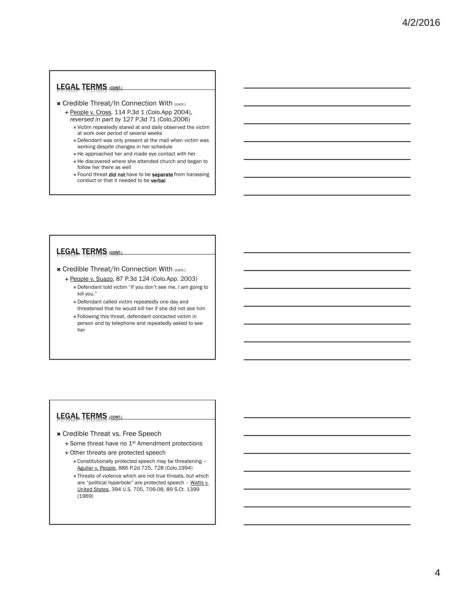- Credible Threat/In Connection With (cont.)
	- + People v. Cross, 114 P.3d 1 (Colo.App 2004), *reversed in part by* 127 P.3d 71 (Colo.2006)
		- Victim repeatedly stared at and daily observed the victim at work over period of several weeks
		- Defendant was only present at the mall when victim was working despite changes in her schedule
		- He approached her and made eye contact with her
		- He discovered where she attended church and began to follow her there as well
		- x Found threat did not have to be separate from harassing conduct or that it needed to be verbal

# LEGAL TERMS (CONT.)

- Credible Threat/In Connection With (cont.)
	- People v. Suazo, 87 P.3d 124 (Colo.App. 2003)
		- Defendant told victim "if you don't see me, I am going to kill you."
		- Defendant called victim repeatedly one day and threatened that he would kill her if she did not see him
		- Following this threat, defendant contacted victim in person and by telephone and repeatedly asked to see her

- Credible Threat vs. Free Speech
	- + Some threat have no 1<sup>st</sup> Amendment protections
	- Other threats are protected speech
		- Constitutionally protected speech may be threatening Aguilar v. People, 886 P.2d 725, 728 (Colo.1994)
		- Threats of violence which are not true threats, but which are "political hyperbole" are protected speech - Watts v. United States, 394 U.S. 705, 706-08, 89 S.Ct. 1399 (1969)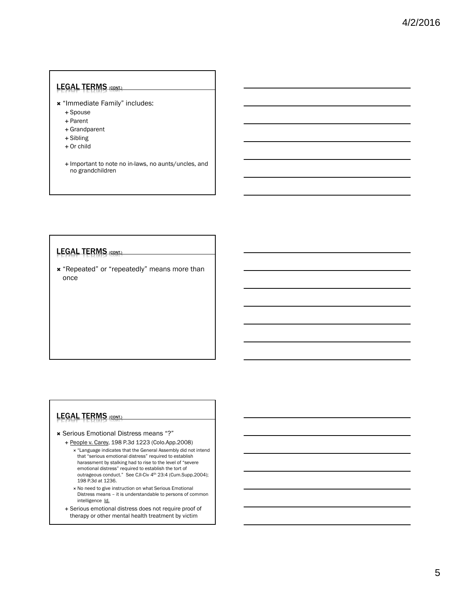- "Immediate Family" includes:
	- + Spouse
	- + Parent
	- + Grandparent
	- Sibling
	- + Or child
	- + Important to note no in-laws, no aunts/uncles, and no grandchildren

# LEGAL TERMS (CONT.)

**\*** "Repeated" or "repeatedly" means more than once

- Serious Emotional Distress means "?"
	- People v. Carey, 198 P.3d 1223 (Colo.App.2008)
		- "Language indicates that the General Assembly did not intend that "serious emotional distress" required to establish harassment by stalking had to rise to the level of "severe emotional distress" required to establish the tort of outrageous conduct." See CJI-Civ 4th 23:4 (Cum.Supp.2004); 198 P.3d at 1236.
		- x No need to give instruction on what Serious Emotional Distress means – it is understandable to persons of common intelligence **Id.**
	- + Serious emotional distress does not require proof of therapy or other mental health treatment by victim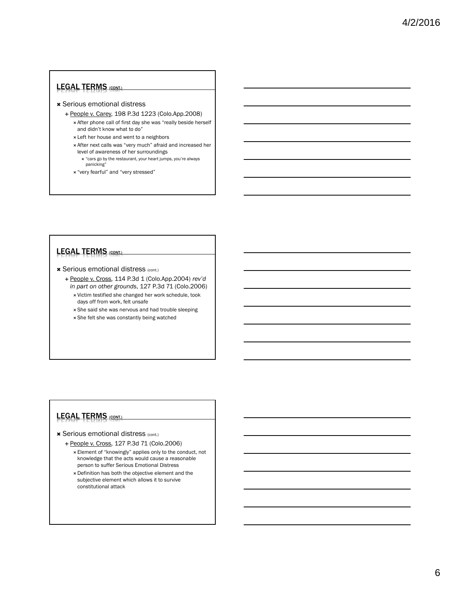- Serious emotional distress
	- People v. Carey, 198 P.3d 1223 (Colo.App.2008)
		- After phone call of first day she was "really beside herself and didn't know what to do"
		- Left her house and went to a neighbors
		- After next calls was "very much" afraid and increased her level of awareness of her surroundings
		- "cars go by the restaurant, your heart jumps, you're always panicking"
		- x "very fearful" and "very stressed"

# LEGAL TERMS (CONT.)

- **x** Serious emotional distress (cont.)
	- People v. Cross, 114 P.3d 1 (Colo.App.2004) *rev'd in part on other grounds*, 127 P.3d 71 (Colo.2006) Victim testified she changed her work schedule, took days off from work, felt unsafe
		- She said she was nervous and had trouble sleeping
		- She felt she was constantly being watched

- Serious emotional distress (cont.)
	- People v. Cross, 127 P.3d 71 (Colo.2006)
		- Element of "knowingly" applies only to the conduct, not knowledge that the acts would cause a reasonable person to suffer Serious Emotional Distress
		- Definition has both the objective element and the subjective element which allows it to survive constitutional attack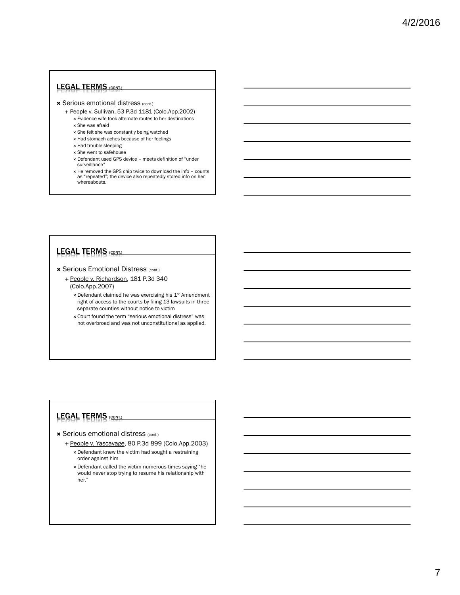#### Serious emotional distress (cont.)

- People v. Sullivan, 53 P.3d 1181 (Colo.App.2002)
	- Evidence wife took alternate routes to her destinations She was afraid
	- $\times$  She felt she was constantly being watched
	- x Had stomach aches because of her feelings
	- x Had trouble sleeping
	- She went to safehouse
	- Defendant used GPS device meets definition of "under surveillance"
	- x He removed the GPS chip twice to download the info counts as "repeated"; the device also repeatedly stored info on her whereabouts.

# LEGAL TERMS (CONT.)

- Serious Emotional Distress (cont.)
	- People v. Richardson, 181 P.3d 340 (Colo.App.2007)
		- **× Defendant claimed he was exercising his 1st Amendment** right of access to the courts by filing 13 lawsuits in three separate counties without notice to victim
		- Court found the term "serious emotional distress" was not overbroad and was not unconstitutional as applied.

# LEGAL TERMS (CONT.)

#### Serious emotional distress (cont.)

- People v. Yascavage, 80 P.3d 899 (Colo.App.2003) Defendant knew the victim had sought a restraining
	- order against him Defendant called the victim numerous times saying "he would never stop trying to resume his relationship with her."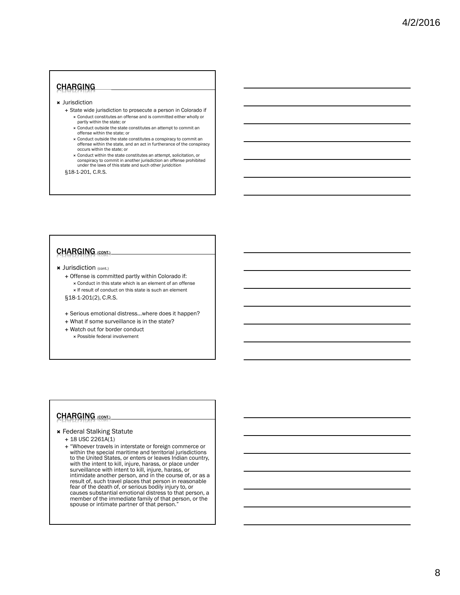## CHARGING

#### Jurisdiction

- + State wide jurisdiction to prosecute a person in Colorado if Conduct constitutes an offense and is committed either wholly or partly within the state; or
	- Conduct outside the state constitutes an attempt to commit an offense within the state; or
	- Conduct outside the state constitutes a conspiracy to commit an offense within the state, and an act in furtherance of the conspiracy occurs within the state; or
	- Conduct within the state constitutes an attempt, solicitation, or conspiracy to commit in another jurisdiction an offense prohibited under the laws of this state and such other juridcition

§18-1-201, C.R.S.

# CHARGING (CONT.)

#### **\*** Jurisdiction (cont.)

+ Offense is committed partly within Colorado if: Conduct in this state which is an element of an offense x If result of conduct on this state is such an element

§18-1-201(2), C.R.S.

- + Serious emotional distress...where does it happen?
- What if some surveillance is in the state?
- + Watch out for border conduct
- Possible federal involvement

## CHARGING (CONT.)

#### Federal Stalking Statute

- $+ 18$  USC 2261A(1)
- + "Whoever travels in interstate or foreign commerce or within the special maritime and territorial jurisdictions to the United States, or enters or leaves Indian country, with the intent to kill, injure, harass, or place under surveillance with intent to kill, injure, harass, or intimidate another person, and in the course of, or as a result of, such travel places that person in reasonable fear of the death of, or serious bodily injury to, or causes substantial emotional distress to that person, a member of the immediate family of that person, or the spouse or intimate partner of that person."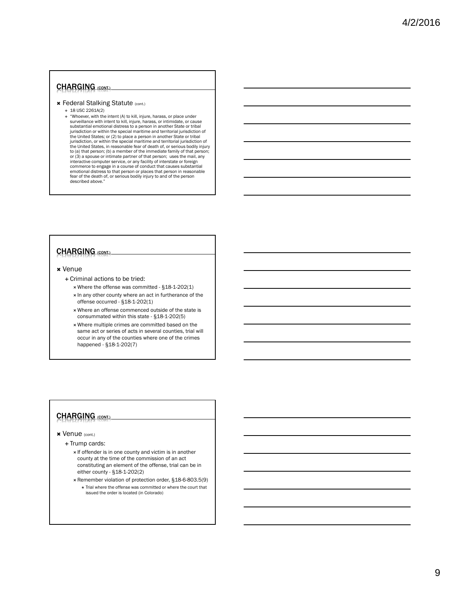# CHARGING (CONT.)

**\* Federal Stalking Statute (cont.)** 

#### 18 USC 2261A(2)

 "Whoever, with the intent (A) to kill, injure, harass, or place under surveillance with intent to kill, injure, harass, or intimidate, or cause substantial emotional distress to a person in another State or tribal jurisdiction or within the special maritime and territorial jurisdiction of the United States; or (2) to place a person in another State or tribal jurisdiction, or within the special maritime and territorial jurisdiction of the United States, in reasonable fear of death of, or serious bodily injury to (a) that person; (b) a member of the immediate family of that person; or (3) a spouse or intimate partner of that person; uses the mail, any interactive computer service, or any facility of interstate or foreign commerce to engage in a course of conduct that causes substantial emotional distress to that person or places that person in reasonable fear of the death of, or serious bodily injury to and of the person described above.

# CHARGING (CONT.)

**x** Venue

- Criminal actions to be tried:
	- Where the offense was committed §18-1-202(1)
	- x In any other county where an act in furtherance of the offense occurred - §18-1-202(1)
	- Where an offense commenced outside of the state is consummated within this state - §18-1-202(5)
	- Where multiple crimes are committed based on the same act or series of acts in several counties, trial will occur in any of the counties where one of the crimes happened - §18-1-202(7)

# CHARGING (CONT.)

#### Venue (cont.)

- + Trump cards:
	- x If offender is in one county and victim is in another county at the time of the commission of an act constituting an element of the offense, trial can be in either county - §18-1-202(2)
	- Remember violation of protection order, §18-6-803.5(9)
	- \* Trial where the offense was committed or where the court that issued the order is located (in Colorado)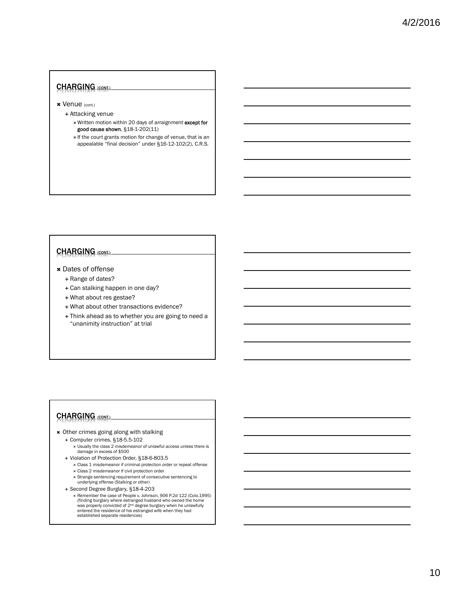# CHARGING (CONT.)

- Venue (cont.)
	- + Attacking venue
		- x Written motion within 20 days of arraignment except for good cause shown, §18-1-202(11)
		- x If the court grants motion for change of venue, that is an appealable "final decision" under §16-12-102(2), C.R.S.

# CHARGING (CONT.)

- Dates of offense
	- + Range of dates?
	- + Can stalking happen in one day?
	- What about res gestae?
	- What about other transactions evidence?
	- Think ahead as to whether you are going to need a "unanimity instruction" at trial

# CHARGING (CONT.)

- Other crimes going along with stalking Computer crimes, §18-5.5-102
	- Usually the class 2 misdemeanor of unlawful access unless there is damage in excess of \$500
	- + Violation of Protection Order, §18-6-803.5
		- Class 1 misdemeanor if criminal protection order or repeat offense Class 2 misdemeanor if civil protection order
		- Strange sentencing requirement of consecutive sentencing to underlying offense (Stalking or other)
		-
	- Second Degree Burglary, §18-4-203 Remember the case of People v. Johnson, 906 P.2d 122 (Colo.1995) (finding burglary where estranged husband who owned the home was properly convicted of 2<sup>nd</sup> degree burglary when he unlawfully<br>entered the residence of his estranged wife when they had established separate residences)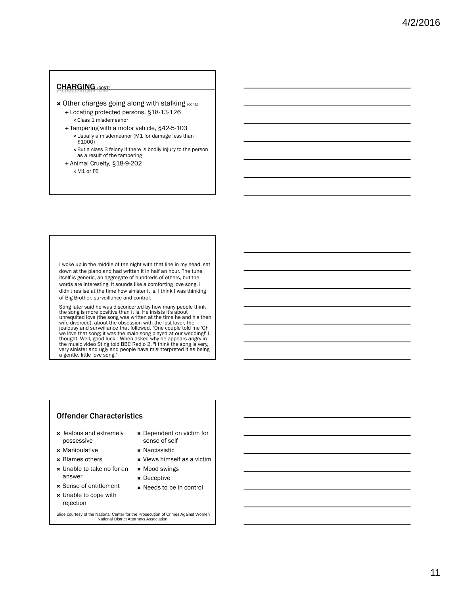## CHARGING (CONT.)

- **\*** Other charges going along with stalking (cont.) Locating protected persons, §18-13-126
	- Class 1 misdemeanor
	- Tampering with a motor vehicle, §42-5-103
		- Usually a misdemeanor (M1 for damage less than \$1000)
		- But a class 3 felony if there is bodily injury to the person as a result of the tampering
	- Animal Cruelty, §18-9-202
		- M1 or F6

I woke up in the middle of the night with that line in my head, sat down at the piano and had written it in half an hour. The tune itself is generic, an aggregate of hundreds of others, but the words are interesting. It sounds like a comforting love song. I didn't realise at the time how sinister it is. I think I was thinking of Big Brother, surveillance and control.

Sting later said he was disconcerted by how many people think the song is more positive than it is. He insists it's about unrequited love (the song was written at the time he and his then<br>wife divorced), about the obsession with the lost lover, the<br>jealousy and surveillance that followed. "One couple told me 'Oh<br>we love that song; it was the thought, Well, good luck." When asked why he appears angry in the music video Sting told BBC Radio 2, "I think the song is very, very sinister and ugly and people have misinterpreted it as being a gentle, little love song."

#### Offender Characteristics

- Jealous and extremely possessive
- **\*** Manipulative
- **\*** Blames others
- Unable to take no for an answer
- Sense of entitlement
- Unable to cope with rejection
- Dependent on victim for sense of self
- **\*** Narcissistic
- Views himself as a victim
- **\*** Mood swings
	- **\*** Deceptive
	- Needs to be in control

Slide courtesy of the National Center for the Prosecution of Crimes Against Women National District Attorneys Association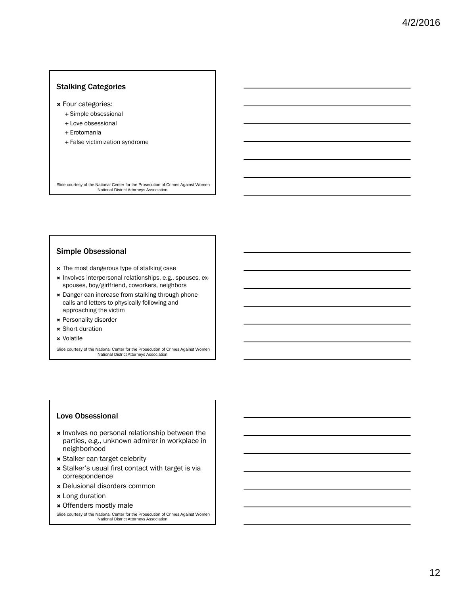### Stalking Categories

- **\*** Four categories:
	- + Simple obsessional
	- + Love obsessional
	- + Erotomania
	- + False victimization syndrome

Slide courtesy of the National Center for the Prosecution of Crimes Against Women National District Attorneys Association

#### Simple Obsessional

- \* The most dangerous type of stalking case
- \* Involves interpersonal relationships, e.g., spouses, exspouses, boy/girlfriend, coworkers, neighbors
- **\*** Danger can increase from stalking through phone calls and letters to physically following and approaching the victim
- Personality disorder
- Short duration
- Volatile

Slide courtesy of the National Center for the Prosecution of Crimes Against Women National District Attorneys Association

### Love Obsessional

- **\*** Involves no personal relationship between the parties, e.g., unknown admirer in workplace in neighborhood
- Stalker can target celebrity
- Stalker's usual first contact with target is via correspondence
- Delusional disorders common
- Long duration
- Offenders mostly male

Slide courtesy of the National Center for the Prosecution of Crimes Against Women National District Attorneys Association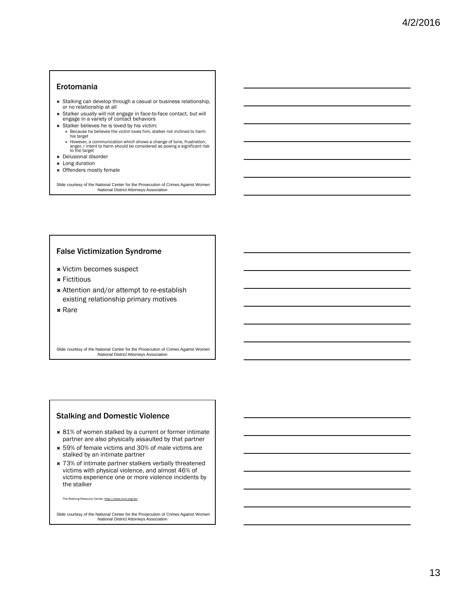#### Erotomania

- Stalking can develop through a casual or business relationship, or no relationship at all
- Stalker usually will not engage in face-to-face contact, but will engage in a variety of contact behaviors
- **\*** Stalker believes he is loved by his victim: + Because he believes the victim loves him, stalker not inclined to harm
	- his target However, a communication which shows a change of tone, frustration, anger, r intent to harm should be considered as posing a significant risk to the target
- Delusional disorder
- Long duration
- Offenders mostly female

Slide courtesy of the National Center for the Prosecution of Crimes Against Women National District Attorneys Association

#### False Victimization Syndrome

- Victim becomes suspect
- **\*** Fictitious
- \* Attention and/or attempt to re-establish existing relationship primary motives
- **x** Rare

Slide courtesy of the National Center for the Prosecution of Crimes Against Women National District Attorneys Association

#### Stalking and Domestic Violence

- \* 81% of women stalked by a current or former intimate partner are also physically assaulted by that partner
- \* 59% of female victims and 30% of male victims are stalked by an intimate partner
- \* 73% of intimate partner stalkers verbally threatened victims with physical violence, and almost 46% of victims experience one or more violence incidents by the stalker

The Stalking Resource Center, http://www.ncvc.org/src

Slide courtesy of the National Center for the Prosecution of Crimes Against Women National District Attorneys Association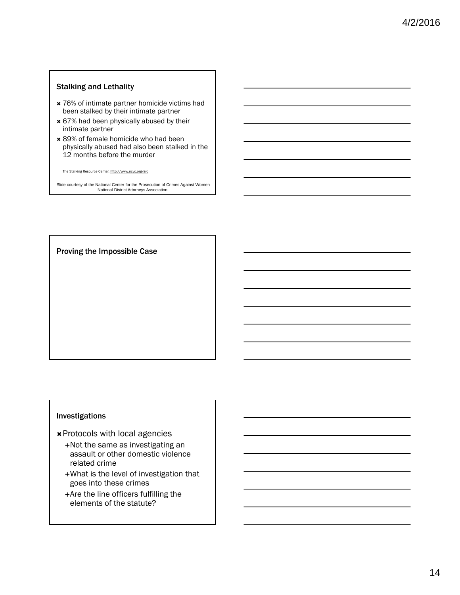## Stalking and Lethality

- **\* 76% of intimate partner homicide victims had** been stalked by their intimate partner
- **\*** 67% had been physically abused by their intimate partner
- **\*** 89% of female homicide who had been physically abused had also been stalked in the 12 months before the murder

The Stalking Resource Center, http://www.ncvc.org/src

Slide courtesy of the National Center for the Prosecution of Crimes Against Women National District Attorneys Association

Proving the Impossible Case

## Investigations

Protocols with local agencies

- +Not the same as investigating an assault or other domestic violence related crime
- What is the level of investigation that goes into these crimes
- Are the line officers fulfilling the elements of the statute?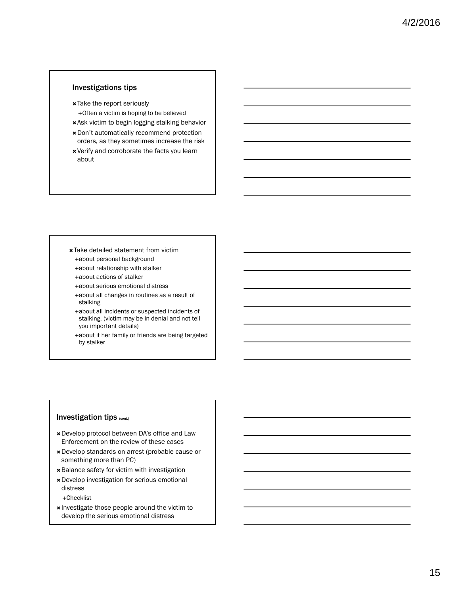### Investigations tips

- \* Take the report seriously + Often a victim is hoping to be believed
- Ask victim to begin logging stalking behavior
- Don't automatically recommend protection orders, as they sometimes increase the risk
- Verify and corroborate the facts you learn about

- Take detailed statement from victim +about personal background
	- +about relationship with stalker
	- +about actions of stalker
	- about serious emotional distress
	- +about all changes in routines as a result of stalking
	- about all incidents or suspected incidents of stalking. (victim may be in denial and not tell you important details)
	- +about if her family or friends are being targeted by stalker

## Investigation tips (cont.)

- Develop protocol between DA's office and Law Enforcement on the review of these cases
- Develop standards on arrest (probable cause or something more than PC)
- Balance safety for victim with investigation
- Develop investigation for serious emotional distress
	- Checklist
- Investigate those people around the victim to develop the serious emotional distress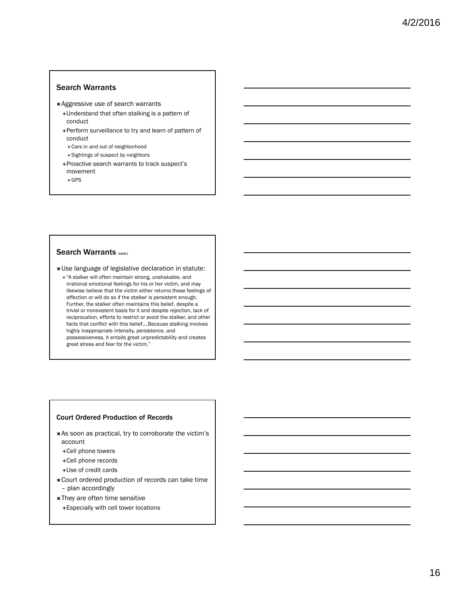#### Search Warrants

- Aggressive use of search warrants
	- Understand that often stalking is a pattern of conduct
	- +Perform surveillance to try and learn of pattern of conduct
	- Cars in and out of neighborhood
	- Sightings of suspect by neighbors
	- Proactive search warrants to track suspect's movement
		- GPS

## Search Warrants (cont.)

- Use language of legislative declaration in statute:
- + "A stalker will often maintain strong, unshakable, and irrational emotional feelings for his or her victim, and may likewise believe that the victim either returns these feelings of affection or will do so if the stalker is persistent enough. Further, the stalker often maintains this belief, despite a trivial or nonexistent basis for it and despite rejection, lack of reciprocation, efforts to restrict or avoid the stalker, and other facts that conflict with this belief….Because stalking involves highly inappropriate intensity, persistence, and possessiveness, it entails great unpredictability and creates great stress and fear for the victim."

#### Court Ordered Production of Records

- As soon as practical, try to corroborate the victim's account
	- +Cell phone towers
	- +Cell phone records
	- Use of credit cards
- Court ordered production of records can take time
	- plan accordingly
- \* They are often time sensitive
	- Especially with cell tower locations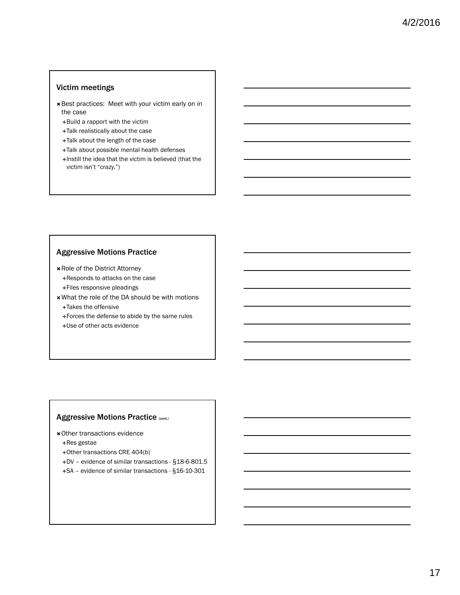### Victim meetings

- **\*** Best practices: Meet with your victim early on in the case
	- +Build a rapport with the victim
	- Talk realistically about the case
	- Talk about the length of the case
	- Talk about possible mental health defenses
	- +Instill the idea that the victim is believed (that the victim isn't "crazy.")

### Aggressive Motions Practice

- Role of the District Attorney +Responds to attacks on the case Files responsive pleadings
- What the role of the DA should be with motions
	- Takes the offensive
	- Forces the defense to abide by the same rules
	- Use of other acts evidence

## Aggressive Motions Practice (cont.)

- Other transactions evidence
- +Res gestae
- Other transactions CRE 404(b)
- DV evidence of similar transactions §18-6-801.5
- SA evidence of similar transactions §16-10-301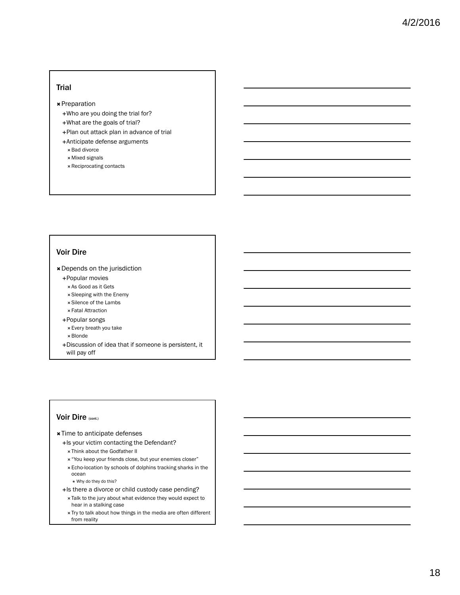#### Trial

- Preparation
	- Who are you doing the trial for?
	- What are the goals of trial?
	- Plan out attack plan in advance of trial
	- Anticipate defense arguments
		- **×** Bad divorce
		- **× Mixed signals**
		- **x** Reciprocating contacts

## Voir Dire

- Depends on the jurisdiction
	- Popular movies
		- As Good as it Gets
		- Sleeping with the Enemy
		- Silence of the Lambs
	- Fatal Attraction
	- Popular songs
		- Every breath you take
		- Blonde
	- +Discussion of idea that if someone is persistent, it will pay off

### Voir Dire (cont.)

- **\*** Time to anticipate defenses
	- +Is your victim contacting the Defendant?
		- Think about the Godfather II
		- "You keep your friends close, but your enemies closer"
		- Echo-location by schools of dolphins tracking sharks in the ocean
			- Why do they do this?
	- +Is there a divorce or child custody case pending?
		- Talk to the jury about what evidence they would expect to hear in a stalking case
		- Try to talk about how things in the media are often different from reality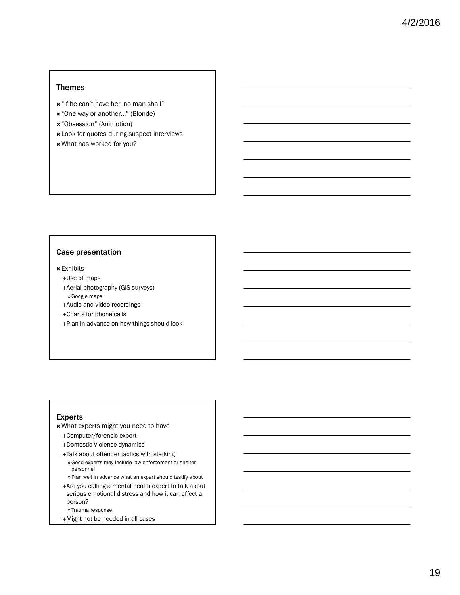### Themes

- **\*** "If he can't have her, no man shall"
- \* "One way or another..." (Blonde)
- "Obsession" (Animotion)
- Look for quotes during suspect interviews
- What has worked for you?

## Case presentation

Exhibits

- Use of maps
- Aerial photography (GIS surveys) Google maps
- Audio and video recordings
- Charts for phone calls
- +Plan in advance on how things should look

## Experts

- What experts might you need to have
	- Computer/forensic expert
	- +Domestic Violence dynamics
	- Talk about offender tactics with stalking
	- Good experts may include law enforcement or shelter personnel
	- Plan well in advance what an expert should testify about
	- Are you calling a mental health expert to talk about serious emotional distress and how it can affect a person?
		- Trauma response
	- +Might not be needed in all cases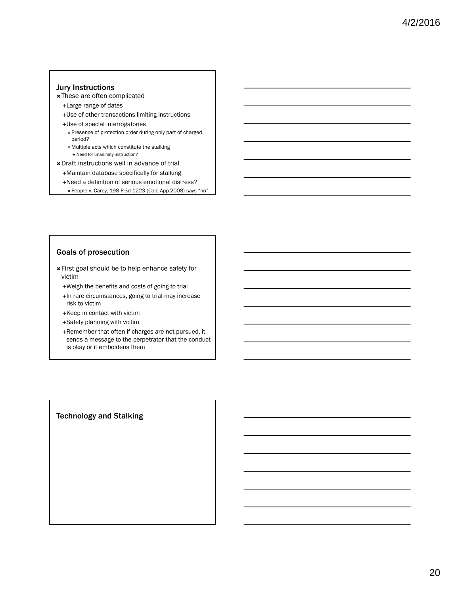#### Jury Instructions

- **x** These are often complicated
	- Large range of dates
	- Use of other transactions limiting instructions
	- Use of special interrogatories
		- Presence of protection order during only part of charged period?
		- **× Multiple acts which constitute the stalking**  $\star$  Need for unanimity instruction?
- Draft instructions well in advance of trial Maintain database specifically for stalking
	- +Need a definition of serious emotional distress?
		- People v. Carey, 198 P.3d 1223 (Colo.App.2008) says "no"

## Goals of prosecution

- First goal should be to help enhance safety for victim
	- Weigh the benefits and costs of going to trial
	- +In rare circumstances, going to trial may increase risk to victim
	- +Keep in contact with victim
	- +Safety planning with victim
	- +Remember that often if charges are not pursued, it sends a message to the perpetrator that the conduct is okay or it emboldens them

#### Technology and Stalking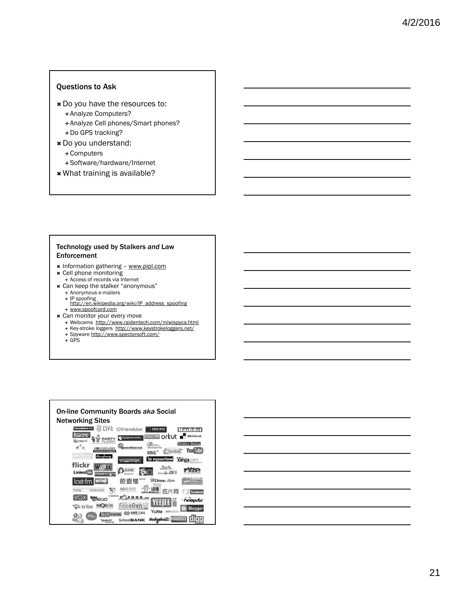### Questions to Ask

- Do you have the resources to: Analyze Computers? + Analyze Cell phones/Smart phones? +Do GPS tracking?
- Do you understand: + Computers Software/hardware/Internet
- What training is available?

#### Technology used by Stalkers *and* Law Enforcement

- **\*** Information gathering www.pipl.com Cell phone monitoring
- + Access of records via Internet
- Can keep the stalker "anonymous"
	- + Anonymous e-mailers
		-
	- + IP spoofing<br>http://en.wikipedia.org/wiki/IP\_address\_spoofing www.spoofcard.com
- **x** Can monitor your every move
	- Webcams http://www.raidentech.com/miwispyca.html
	- + Key-stroke loggers http://www.keystrokeloggers.net/
	- + Spyware http://www.spectorsoft.com/
	- GPS



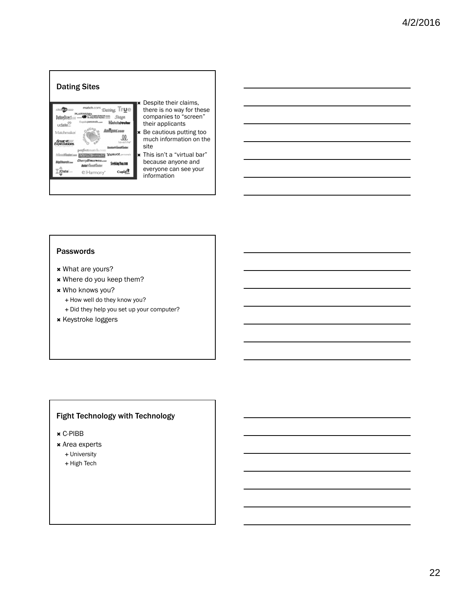## Dating Sites



 Despite their claims, there is no way for these companies to "screen" their applicants

- Be cautious putting too much information on the site
- This isn't a "virtual bar" because anyone and everyone can see your information

#### Passwords

- What are yours?
- Where do you keep them?
- Who knows you?
	- + How well do they know you?
	- + Did they help you set up your computer?
- **\*** Keystroke loggers

## Fight Technology with Technology

- C-PIBB
- Area experts
- + University
- + High Tech